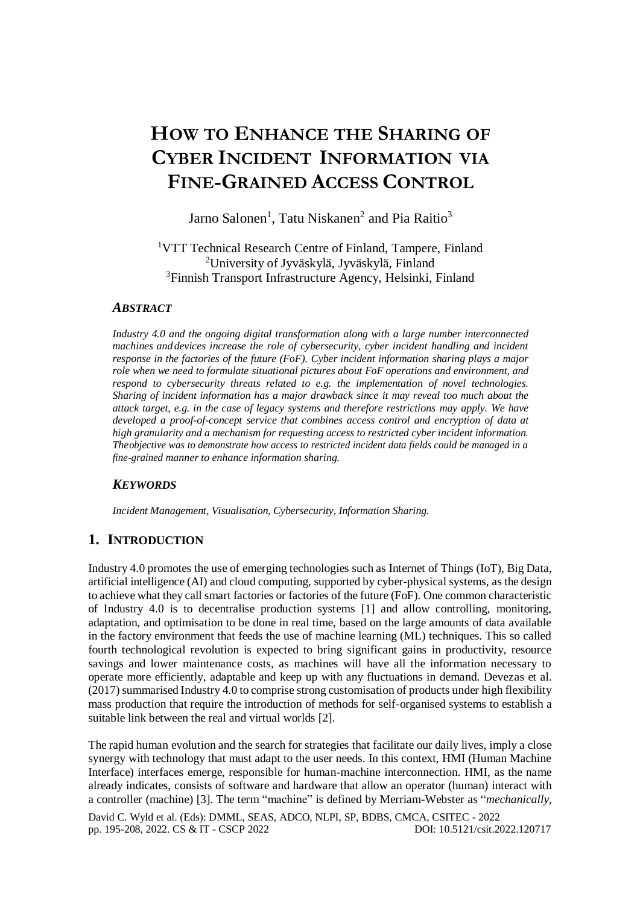# **HOW TO ENHANCE THE SHARING OF CYBER INCIDENT INFORMATION VIA FINE-GRAINED ACCESS CONTROL**

Jarno Salonen<sup>1</sup>, Tatu Niskanen<sup>2</sup> and Pia Raitio<sup>3</sup>

<sup>1</sup>VTT Technical Research Centre of Finland, Tampere, Finland <sup>2</sup>University of Jyväskylä, Jyväskylä, Finland <sup>3</sup>Finnish Transport Infrastructure Agency, Helsinki, Finland

## *ABSTRACT*

*Industry 4.0 and the ongoing digital transformation along with a large number interconnected machines anddevices increase the role of cybersecurity, cyber incident handling and incident response in the factories of the future (FoF). Cyber incident information sharing plays a major role when we need to formulate situational pictures about FoF operations and environment, and respond to cybersecurity threats related to e.g. the implementation of novel technologies. Sharing of incident information has a major drawback since it may reveal too much about the attack target, e.g. in the case of legacy systems and therefore restrictions may apply. We have developed a proof-of-concept service that combines access control and encryption of data at high granularity and a mechanism for requesting access to restricted cyber incident information. Theobjective was to demonstrate how access to restricted incident data fields could be managed in a fine-grained manner to enhance information sharing.*

# *KEYWORDS*

*Incident Management, Visualisation, Cybersecurity, Information Sharing.*

# **1. INTRODUCTION**

Industry 4.0 promotes the use of emerging technologies such as Internet of Things (IoT), Big Data, artificial intelligence (AI) and cloud computing, supported by cyber-physical systems, as the design to achieve what they call smart factories or factories of the future (FoF). One common characteristic of Industry 4.0 is to decentralise production systems [1] and allow controlling, monitoring, adaptation, and optimisation to be done in real time, based on the large amounts of data available in the factory environment that feeds the use of machine learning (ML) techniques. This so called fourth technological revolution is expected to bring significant gains in productivity, resource savings and lower maintenance costs, as machines will have all the information necessary to operate more efficiently, adaptable and keep up with any fluctuations in demand. Devezas et al.  $(2017)$  summarised Industry 4.0 to comprise strong customisation of products under high flexibility mass production that require the introduction of methods for self-organised systems to establish a suitable link between the real and virtual worlds [2].

David C. Wyld et al. (Eds): DMML, SEAS, ADCO, NLPI, SP, BDBS, CMCA, CSITEC - 2022 pp. 195-208, 2022[. CS & IT](http://airccse.org/cscp.html) - [CSCP 2022](http://airccse.org/csit/V12N07.html) [DOI: 10.5121/csit.2022.120717](https://doi.org/10.5121/csit.2022.120717) The rapid human evolution and the search for strategies that facilitate our daily lives, imply a close synergy with technology that must adapt to the user needs. In this context, HMI (Human Machine Interface) interfaces emerge, responsible for human-machine interconnection. HMI, as the name already indicates, consists of software and hardware that allow an operator (human) interact with a controller (machine) [3]. The term "machine" is defined by Merriam-Webster as "*mechanically,*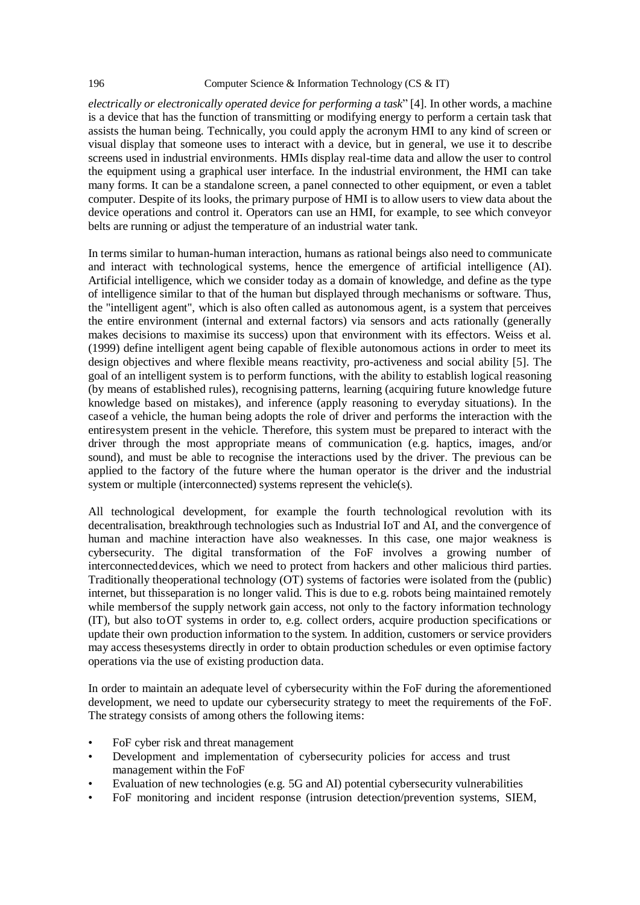*electrically or electronically operated device for performing a task*" [4]. In other words, a machine is a device that has the function of transmitting or modifying energy to perform a certain task that assists the human being. Technically, you could apply the acronym HMI to any kind of screen or visual display that someone uses to interact with a device, but in general, we use it to describe screens used in industrial environments. HMIs display real-time data and allow the user to control the equipment using a graphical user interface. In the industrial environment, the HMI can take many forms. It can be a standalone screen, a panel connected to other equipment, or even a tablet computer. Despite of its looks, the primary purpose of HMI is to allow users to view data about the device operations and control it. Operators can use an HMI, for example, to see which conveyor belts are running or adjust the temperature of an industrial water tank.

In terms similar to human-human interaction, humans as rational beings also need to communicate and interact with technological systems, hence the emergence of artificial intelligence (AI). Artificial intelligence, which we consider today as a domain of knowledge, and define as the type of intelligence similar to that of the human but displayed through mechanisms or software. Thus, the "intelligent agent", which is also often called as autonomous agent, is a system that perceives the entire environment (internal and external factors) via sensors and acts rationally (generally makes decisions to maximise its success) upon that environment with its effectors. Weiss et al. (1999) define intelligent agent being capable of flexible autonomous actions in order to meet its design objectives and where flexible means reactivity, pro-activeness and social ability [5]. The goal of an intelligent system is to perform functions, with the ability to establish logical reasoning (by means of established rules), recognising patterns, learning (acquiring future knowledge future knowledge based on mistakes), and inference (apply reasoning to everyday situations). In the caseof a vehicle, the human being adopts the role of driver and performs the interaction with the entiresystem present in the vehicle. Therefore, this system must be prepared to interact with the driver through the most appropriate means of communication (e.g. haptics, images, and/or sound), and must be able to recognise the interactions used by the driver. The previous can be applied to the factory of the future where the human operator is the driver and the industrial system or multiple (interconnected) systems represent the vehicle(s).

All technological development, for example the fourth technological revolution with its decentralisation, breakthrough technologies such as Industrial IoT and AI, and the convergence of human and machine interaction have also weaknesses. In this case, one major weakness is cybersecurity. The digital transformation of the FoF involves a growing number of interconnecteddevices, which we need to protect from hackers and other malicious third parties. Traditionally theoperational technology (OT) systems of factories were isolated from the (public) internet, but thisseparation is no longer valid. This is due to e.g. robots being maintained remotely while members of the supply network gain access, not only to the factory information technology (IT), but also toOT systems in order to, e.g. collect orders, acquire production specifications or update their own production information to the system. In addition, customers or service providers may access thesesystems directly in order to obtain production schedules or even optimise factory operations via the use of existing production data.

In order to maintain an adequate level of cybersecurity within the FoF during the aforementioned development, we need to update our cybersecurity strategy to meet the requirements of the FoF. The strategy consists of among others the following items:

- FoF cyber risk and threat management
- Development and implementation of cybersecurity policies for access and trust management within the FoF
- Evaluation of new technologies (e.g. 5G and AI) potential cybersecurity vulnerabilities
- FoF monitoring and incident response (intrusion detection/prevention systems, SIEM,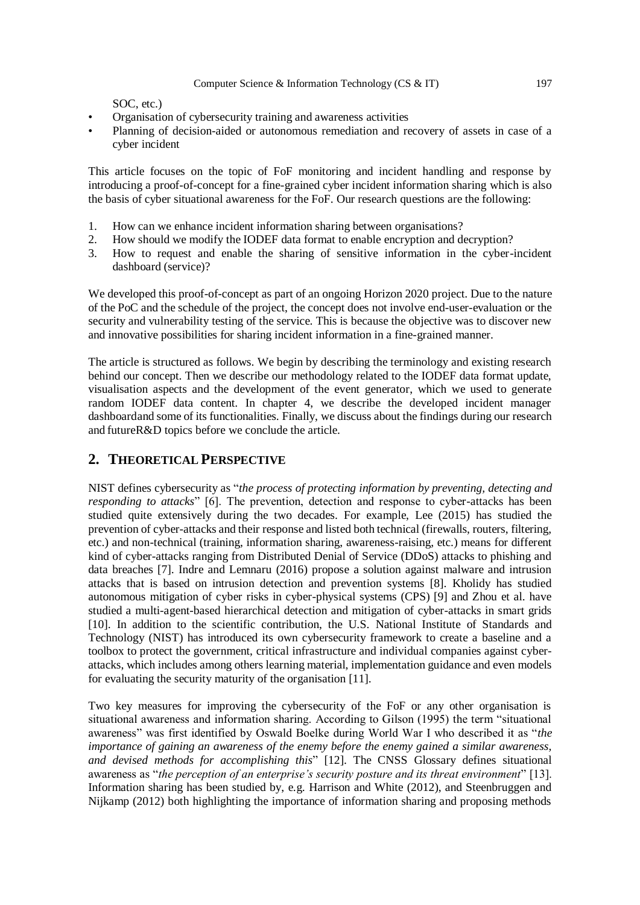SOC, etc.)

- Organisation of cybersecurity training and awareness activities
- Planning of decision-aided or autonomous remediation and recovery of assets in case of a cyber incident

This article focuses on the topic of FoF monitoring and incident handling and response by introducing a proof-of-concept for a fine-grained cyber incident information sharing which is also the basis of cyber situational awareness for the FoF. Our research questions are the following:

- 1. How can we enhance incident information sharing between organisations?
- 2. How should we modify the IODEF data format to enable encryption and decryption?
- 3. How to request and enable the sharing of sensitive information in the cyber-incident dashboard (service)?

We developed this proof-of-concept as part of an ongoing Horizon 2020 project. Due to the nature of the PoC and the schedule of the project, the concept does not involve end-user-evaluation or the security and vulnerability testing of the service. This is because the objective was to discover new and innovative possibilities for sharing incident information in a fine-grained manner.

The article is structured as follows. We begin by describing the terminology and existing research behind our concept. Then we describe our methodology related to the IODEF data format update, visualisation aspects and the development of the event generator, which we used to generate random IODEF data content. In chapter 4, we describe the developed incident manager dashboardand some of its functionalities. Finally, we discuss about the findings during our research and futureR&D topics before we conclude the article.

# **2. THEORETICAL PERSPECTIVE**

NIST defines cybersecurity as "*the process of protecting information by preventing, detecting and responding to attacks*" [6]. The prevention, detection and response to cyber-attacks has been studied quite extensively during the two decades. For example, Lee (2015) has studied the prevention of cyber-attacks and their response and listed both technical (firewalls, routers, filtering, etc.) and non-technical (training, information sharing, awareness-raising, etc.) means for different kind of cyber-attacks ranging from Distributed Denial of Service (DDoS) attacks to phishing and data breaches [7]. Indre and Lemnaru (2016) propose a solution against malware and intrusion attacks that is based on intrusion detection and prevention systems [8]. Kholidy has studied autonomous mitigation of cyber risks in cyber-physical systems (CPS) [9] and Zhou et al. have studied a multi-agent-based hierarchical detection and mitigation of cyber-attacks in smart grids [10]. In addition to the scientific contribution, the U.S. National Institute of Standards and Technology (NIST) has introduced its own cybersecurity framework to create a baseline and a toolbox to protect the government, critical infrastructure and individual companies against cyberattacks, which includes among others learning material, implementation guidance and even models for evaluating the security maturity of the organisation [11].

Two key measures for improving the cybersecurity of the FoF or any other organisation is situational awareness and information sharing. According to Gilson (1995) the term "situational awareness" was first identified by Oswald Boelke during World War I who described it as "*the importance of gaining an awareness of the enemy before the enemy gained a similar awareness, and devised methods for accomplishing this*" [12]. The CNSS Glossary defines situational awareness as "*the perception of an enterprise's security posture and its threat environment*" [13]. Information sharing has been studied by, e.g. Harrison and White (2012), and Steenbruggen and Nijkamp (2012) both highlighting the importance of information sharing and proposing methods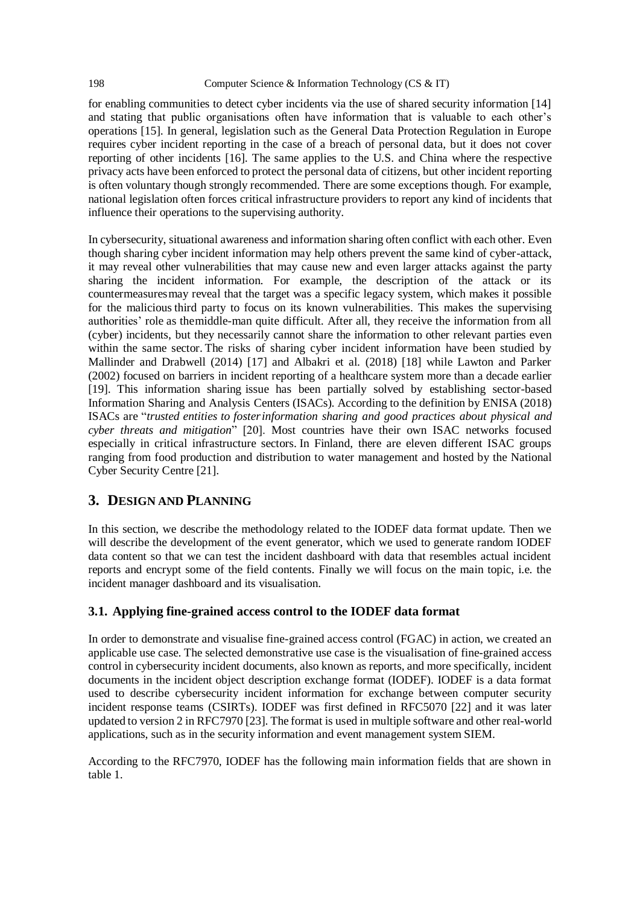for enabling communities to detect cyber incidents via the use of shared security information [14] and stating that public organisations often have information that is valuable to each other's operations [15]. In general, legislation such as the General Data Protection Regulation in Europe requires cyber incident reporting in the case of a breach of personal data, but it does not cover reporting of other incidents [16]. The same applies to the U.S. and China where the respective privacy acts have been enforced to protect the personal data of citizens, but other incident reporting is often voluntary though strongly recommended. There are some exceptions though. For example, national legislation often forces critical infrastructure providers to report any kind of incidents that influence their operations to the supervising authority.

In cybersecurity, situational awareness and information sharing often conflict with each other. Even though sharing cyber incident information may help others prevent the same kind of cyber-attack, it may reveal other vulnerabilities that may cause new and even larger attacks against the party sharing the incident information. For example, the description of the attack or its countermeasuresmay reveal that the target was a specific legacy system, which makes it possible for the malicious third party to focus on its known vulnerabilities. This makes the supervising authorities' role as themiddle-man quite difficult. After all, they receive the information from all (cyber) incidents, but they necessarily cannot share the information to other relevant parties even within the same sector. The risks of sharing cyber incident information have been studied by Mallinder and Drabwell (2014) [17] and Albakri et al. (2018) [18] while Lawton and Parker (2002) focused on barriers in incident reporting of a healthcare system more than a decade earlier [19]. This information sharing issue has been partially solved by establishing sector-based Information Sharing and Analysis Centers (ISACs). According to the definition by ENISA (2018) ISACs are "*trusted entities to fosterinformation sharing and good practices about physical and cyber threats and mitigation*" [20]. Most countries have their own ISAC networks focused especially in critical infrastructure sectors. In Finland, there are eleven different ISAC groups ranging from food production and distribution to water management and hosted by the National Cyber Security Centre [21].

# **3. DESIGN AND PLANNING**

In this section, we describe the methodology related to the IODEF data format update. Then we will describe the development of the event generator, which we used to generate random IODEF data content so that we can test the incident dashboard with data that resembles actual incident reports and encrypt some of the field contents. Finally we will focus on the main topic, i.e. the incident manager dashboard and its visualisation.

# **3.1. Applying fine-grained access control to the IODEF data format**

In order to demonstrate and visualise fine-grained access control (FGAC) in action, we created an applicable use case. The selected demonstrative use case is the visualisation of fine-grained access control in cybersecurity incident documents, also known as reports, and more specifically, incident documents in the incident object description exchange format (IODEF). IODEF is a data format used to describe cybersecurity incident information for exchange between computer security incident response teams (CSIRTs). IODEF was first defined in RFC5070 [22] and it was later updated to version 2 in RFC7970 [23]. The format is used in multiple software and other real-world applications, such as in the security information and event management system SIEM.

According to the RFC7970, IODEF has the following main information fields that are shown in table 1.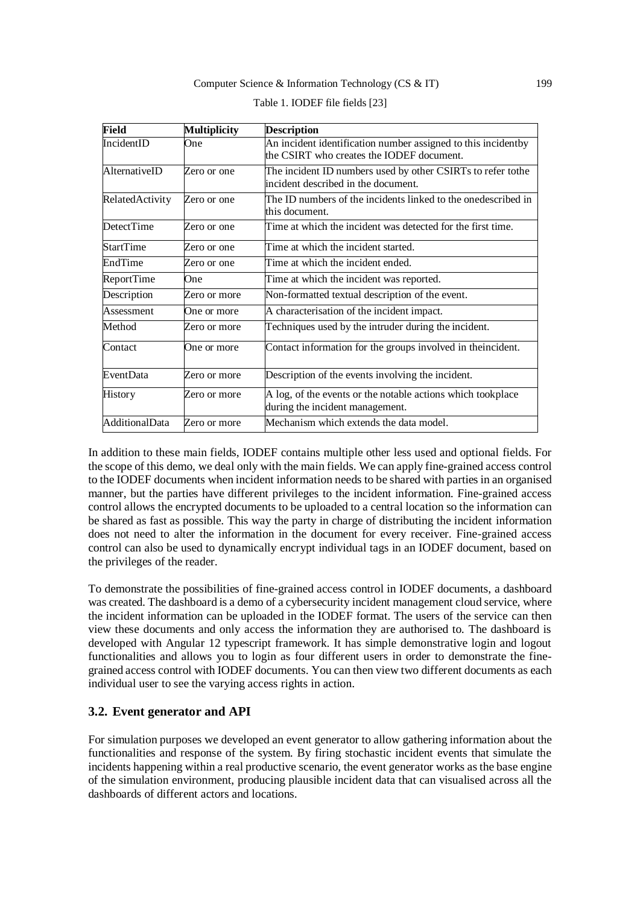| Field             | <b>Multiplicity</b> | <b>Description</b>                                                                                         |  |
|-------------------|---------------------|------------------------------------------------------------------------------------------------------------|--|
| IncidentID        | One                 | An incident identification number assigned to this incidentby<br>the CSIRT who creates the IODEF document. |  |
| AlternativeID     | Zero or one         | The incident ID numbers used by other CSIRTs to refer to the<br>incident described in the document.        |  |
| RelatedActivity   | Zero or one         | The ID numbers of the incidents linked to the onedescribed in<br>this document.                            |  |
| <b>DetectTime</b> | Zero or one         | Time at which the incident was detected for the first time.                                                |  |
| <b>StartTime</b>  | Zero or one         | Time at which the incident started.                                                                        |  |
| EndTime           | Zero or one         | Time at which the incident ended.                                                                          |  |
| ReportTime        | One                 | Time at which the incident was reported.                                                                   |  |
| Description       | Zero or more        | Non-formatted textual description of the event.                                                            |  |
| Assessment        | One or more         | A characterisation of the incident impact.                                                                 |  |
| Method            | Zero or more        | Techniques used by the intruder during the incident.                                                       |  |
| Contact           | One or more         | Contact information for the groups involved in the incident.                                               |  |
| EventData         | Zero or more        | Description of the events involving the incident.                                                          |  |
| History           | Zero or more        | A log, of the events or the notable actions which tookplace<br>during the incident management.             |  |
| AdditionalData    | Zero or more        | Mechanism which extends the data model.                                                                    |  |

| Table 1. IODEF file fields [23] |  |
|---------------------------------|--|
|                                 |  |

In addition to these main fields, IODEF contains multiple other less used and optional fields. For the scope of this demo, we deal only with the main fields. We can apply fine-grained access control to the IODEF documents when incident information needs to be shared with parties in an organised manner, but the parties have different privileges to the incident information. Fine-grained access control allows the encrypted documents to be uploaded to a central location so the information can be shared as fast as possible. This way the party in charge of distributing the incident information does not need to alter the information in the document for every receiver. Fine-grained access control can also be used to dynamically encrypt individual tags in an IODEF document, based on the privileges of the reader.

To demonstrate the possibilities of fine-grained access control in IODEF documents, a dashboard was created. The dashboard is a demo of a cybersecurity incident management cloud service, where the incident information can be uploaded in the IODEF format. The users of the service can then view these documents and only access the information they are authorised to. The dashboard is developed with Angular 12 typescript framework. It has simple demonstrative login and logout functionalities and allows you to login as four different users in order to demonstrate the finegrained access control with IODEF documents. You can then view two different documents as each individual user to see the varying access rights in action.

### **3.2. Event generator and API**

For simulation purposes we developed an event generator to allow gathering information about the functionalities and response of the system. By firing stochastic incident events that simulate the incidents happening within a real productive scenario, the event generator works as the base engine of the simulation environment, producing plausible incident data that can visualised across all the dashboards of different actors and locations.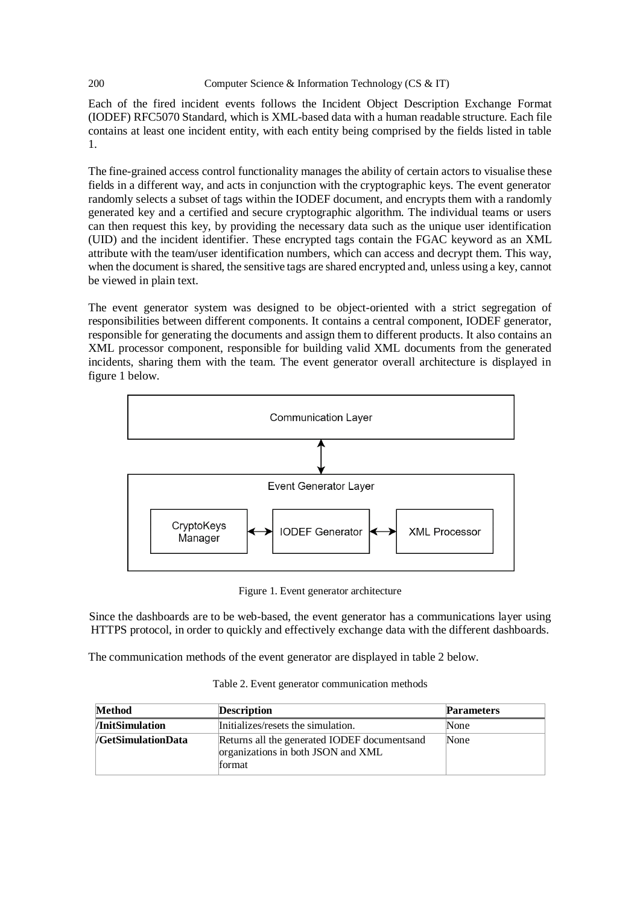Each of the fired incident events follows the Incident Object Description Exchange Format (IODEF) RFC5070 Standard, which is XML-based data with a human readable structure. Each file contains at least one incident entity, with each entity being comprised by the fields listed in table 1.

The fine-grained access control functionality manages the ability of certain actors to visualise these fields in a different way, and acts in conjunction with the cryptographic keys. The event generator randomly selects a subset of tags within the IODEF document, and encrypts them with a randomly generated key and a certified and secure cryptographic algorithm. The individual teams or users can then request this key, by providing the necessary data such as the unique user identification (UID) and the incident identifier. These encrypted tags contain the FGAC keyword as an XML attribute with the team/user identification numbers, which can access and decrypt them. This way, when the document is shared, the sensitive tags are shared encrypted and, unless using a key, cannot be viewed in plain text.

The event generator system was designed to be object-oriented with a strict segregation of responsibilities between different components. It contains a central component, IODEF generator, responsible for generating the documents and assign them to different products. It also contains an XML processor component, responsible for building valid XML documents from the generated incidents, sharing them with the team. The event generator overall architecture is displayed in figure 1 below.



Figure 1. Event generator architecture

Since the dashboards are to be web-based, the event generator has a communications layer using HTTPS protocol, in order to quickly and effectively exchange data with the different dashboards.

The communication methods of the event generator are displayed in table 2 below.

| <b>Method</b>                 | <b>Description</b>                                                                            | <b>Parameters</b> |
|-------------------------------|-----------------------------------------------------------------------------------------------|-------------------|
| <i><b>/InitSimulation</b></i> | Initializes/resets the simulation.                                                            | None              |
| /GetSimulationData            | Returns all the generated IODEF documents and<br>organizations in both JSON and XML<br>format | None              |

Table 2. Event generator communication methods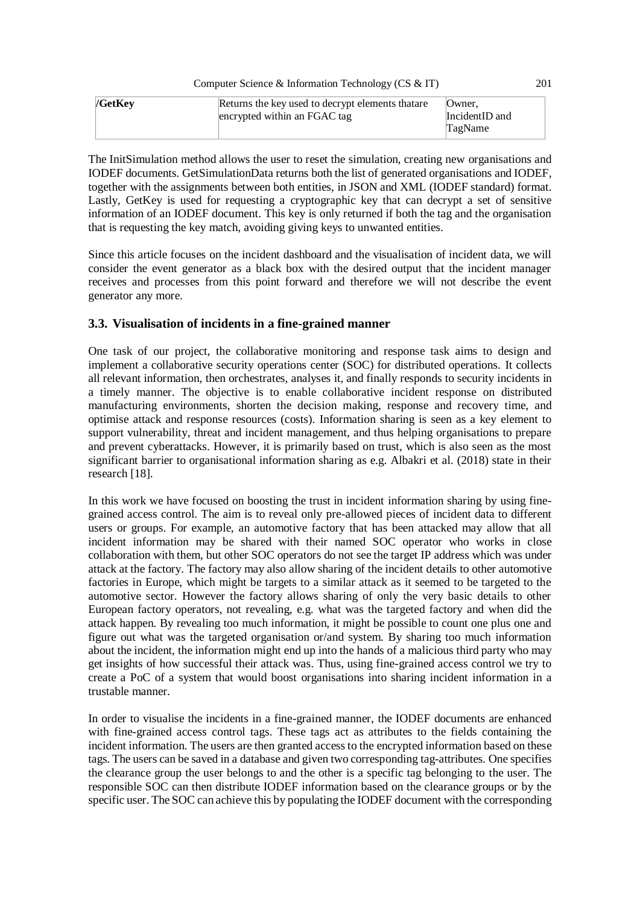| /GetKey | Returns the key used to decrypt elements that are | Owner.         |
|---------|---------------------------------------------------|----------------|
|         | encrypted within an FGAC tag                      | IncidentID and |
|         |                                                   | TagName        |

The InitSimulation method allows the user to reset the simulation, creating new organisations and IODEF documents. GetSimulationData returns both the list of generated organisations and IODEF, together with the assignments between both entities, in JSON and XML (IODEF standard) format. Lastly, GetKey is used for requesting a cryptographic key that can decrypt a set of sensitive information of an IODEF document. This key is only returned if both the tag and the organisation that is requesting the key match, avoiding giving keys to unwanted entities.

Since this article focuses on the incident dashboard and the visualisation of incident data, we will consider the event generator as a black box with the desired output that the incident manager receives and processes from this point forward and therefore we will not describe the event generator any more.

## **3.3. Visualisation of incidents in a fine-grained manner**

One task of our project, the collaborative monitoring and response task aims to design and implement a collaborative security operations center (SOC) for distributed operations. It collects all relevant information, then orchestrates, analyses it, and finally responds to security incidents in a timely manner. The objective is to enable collaborative incident response on distributed manufacturing environments, shorten the decision making, response and recovery time, and optimise attack and response resources (costs). Information sharing is seen as a key element to support vulnerability, threat and incident management, and thus helping organisations to prepare and prevent cyberattacks. However, it is primarily based on trust, which is also seen as the most significant barrier to organisational information sharing as e.g. Albakri et al. (2018) state in their research [18].

In this work we have focused on boosting the trust in incident information sharing by using finegrained access control. The aim is to reveal only pre-allowed pieces of incident data to different users or groups. For example, an automotive factory that has been attacked may allow that all incident information may be shared with their named SOC operator who works in close collaboration with them, but other SOC operators do not see the target IP address which was under attack at the factory. The factory may also allow sharing of the incident details to other automotive factories in Europe, which might be targets to a similar attack as it seemed to be targeted to the automotive sector. However the factory allows sharing of only the very basic details to other European factory operators, not revealing, e.g. what was the targeted factory and when did the attack happen. By revealing too much information, it might be possible to count one plus one and figure out what was the targeted organisation or/and system. By sharing too much information about the incident, the information might end up into the hands of a malicious third party who may get insights of how successful their attack was. Thus, using fine-grained access control we try to create a PoC of a system that would boost organisations into sharing incident information in a trustable manner.

In order to visualise the incidents in a fine-grained manner, the IODEF documents are enhanced with fine-grained access control tags. These tags act as attributes to the fields containing the incident information. The users are then granted access to the encrypted information based on these tags. The users can be saved in a database and given two corresponding tag-attributes. One specifies the clearance group the user belongs to and the other is a specific tag belonging to the user. The responsible SOC can then distribute IODEF information based on the clearance groups or by the specific user. The SOC can achieve this by populating the IODEF document with the corresponding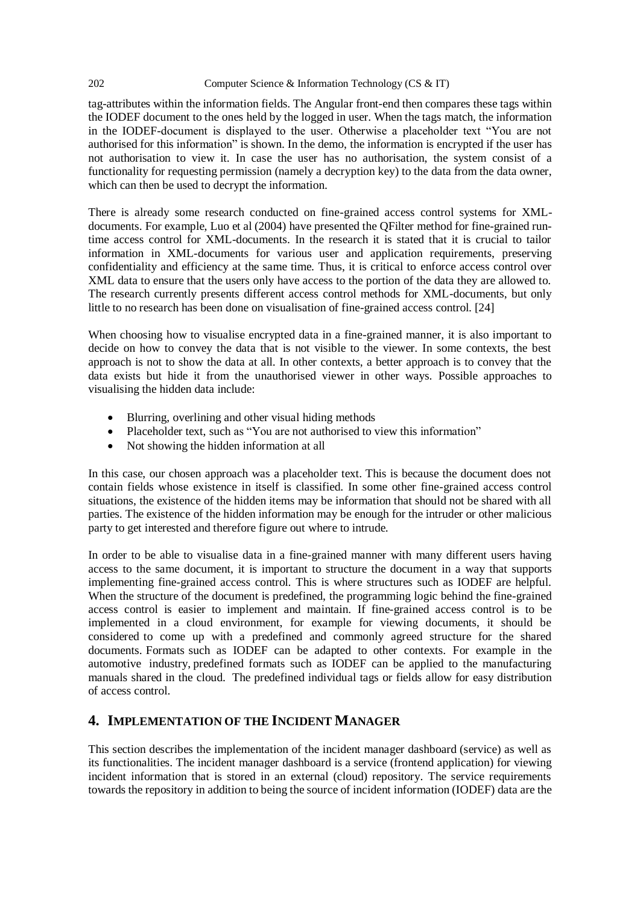tag-attributes within the information fields. The Angular front-end then compares these tags within the IODEF document to the ones held by the logged in user. When the tags match, the information in the IODEF-document is displayed to the user. Otherwise a placeholder text "You are not authorised for this information" is shown. In the demo, the information is encrypted if the user has not authorisation to view it. In case the user has no authorisation, the system consist of a functionality for requesting permission (namely a decryption key) to the data from the data owner, which can then be used to decrypt the information.

There is already some research conducted on fine-grained access control systems for XMLdocuments. For example, Luo et al (2004) have presented the QFilter method for fine-grained runtime access control for XML-documents. In the research it is stated that it is crucial to tailor information in XML-documents for various user and application requirements, preserving confidentiality and efficiency at the same time. Thus, it is critical to enforce access control over XML data to ensure that the users only have access to the portion of the data they are allowed to. The research currently presents different access control methods for XML-documents, but only little to no research has been done on visualisation of fine-grained access control. [24]

When choosing how to visualise encrypted data in a fine-grained manner, it is also important to decide on how to convey the data that is not visible to the viewer. In some contexts, the best approach is not to show the data at all. In other contexts, a better approach is to convey that the data exists but hide it from the unauthorised viewer in other ways. Possible approaches to visualising the hidden data include:

- Blurring, overlining and other visual hiding methods
- Placeholder text, such as "You are not authorised to view this information"
- Not showing the hidden information at all

In this case, our chosen approach was a placeholder text. This is because the document does not contain fields whose existence in itself is classified. In some other fine-grained access control situations, the existence of the hidden items may be information that should not be shared with all parties. The existence of the hidden information may be enough for the intruder or other malicious party to get interested and therefore figure out where to intrude.

In order to be able to visualise data in a fine-grained manner with many different users having access to the same document, it is important to structure the document in a way that supports implementing fine-grained access control. This is where structures such as IODEF are helpful. When the structure of the document is predefined, the programming logic behind the fine-grained access control is easier to implement and maintain. If fine-grained access control is to be implemented in a cloud environment, for example for viewing documents, it should be considered to come up with a predefined and commonly agreed structure for the shared documents. Formats such as IODEF can be adapted to other contexts. For example in the automotive industry, predefined formats such as IODEF can be applied to the manufacturing manuals shared in the cloud. The predefined individual tags or fields allow for easy distribution of access control.

# **4. IMPLEMENTATION OF THE INCIDENT MANAGER**

This section describes the implementation of the incident manager dashboard (service) as well as its functionalities. The incident manager dashboard is a service (frontend application) for viewing incident information that is stored in an external (cloud) repository. The service requirements towards the repository in addition to being the source of incident information (IODEF) data are the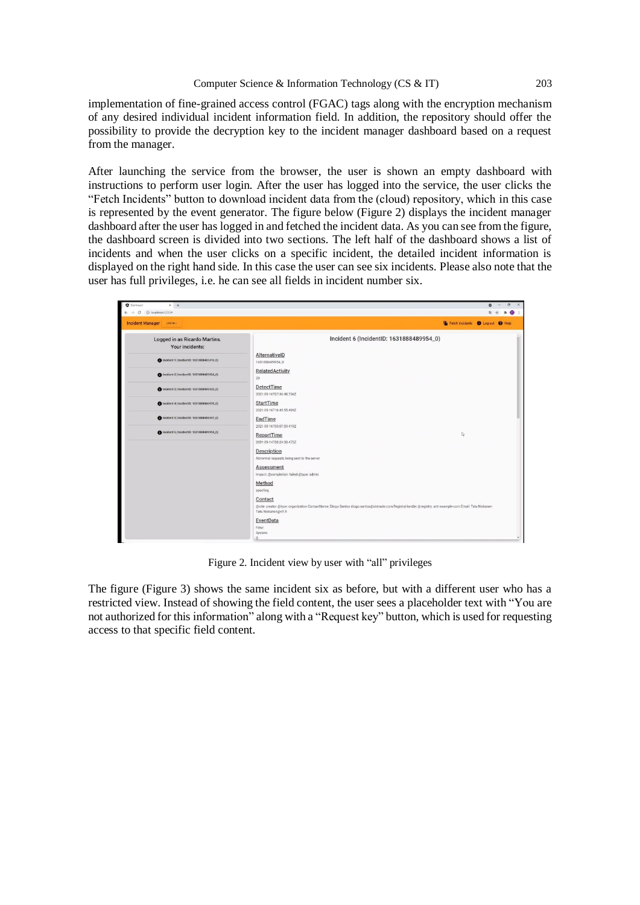implementation of fine-grained access control (FGAC) tags along with the encryption mechanism of any desired individual incident information field. In addition, the repository should offer the possibility to provide the decryption key to the incident manager dashboard based on a request from the manager.

After launching the service from the browser, the user is shown an empty dashboard with instructions to perform user login. After the user has logged into the service, the user clicks the "Fetch Incidents" button to download incident data from the (cloud) repository, which in this case is represented by the event generator. The figure below (Figure 2) displays the incident manager dashboard after the user has logged in and fetched the incident data. As you can see from the figure, the dashboard screen is divided into two sections. The left half of the dashboard shows a list of incidents and when the user clicks on a specific incident, the detailed incident information is displayed on the right hand side. In this case the user can see six incidents. Please also note that the user has full privileges, i.e. he can see all fields in incident number six.

| <b>O</b> Dailboard<br>$x +$<br>$\leftarrow$ $\rightarrow$ C $\odot$ localhost-4200/* | $\circ$<br>衛 立                                                                                                                                                                                                                                                                                                                                                                                  | 井 | $\sigma$<br>$\bullet$ : |  |
|--------------------------------------------------------------------------------------|-------------------------------------------------------------------------------------------------------------------------------------------------------------------------------------------------------------------------------------------------------------------------------------------------------------------------------------------------------------------------------------------------|---|-------------------------|--|
| <b>Incident Manager</b><br>LOGIN +                                                   | Fetch Incidents C Log out @ Help                                                                                                                                                                                                                                                                                                                                                                |   |                         |  |
| Logged in as Ricardo Martins.<br>Your incidents:                                     | Incident 6 (IncidentID: 1631888489954_0)                                                                                                                                                                                                                                                                                                                                                        |   |                         |  |
| tincident 1 (IncidentID: 1631888482419_0)                                            | AlternativeID<br>1631888489954_0                                                                                                                                                                                                                                                                                                                                                                |   |                         |  |
| hcident 2 (IncidentID: 1631888483924_0)                                              | <b>RelatedActivity</b><br>29                                                                                                                                                                                                                                                                                                                                                                    |   |                         |  |
| ncident 3 (IncidentID: 1631858485433,0)                                              | DetectTime<br>2021-09-16T07:36:48.736Z                                                                                                                                                                                                                                                                                                                                                          |   |                         |  |
| tricident 4 (IncidentiD: 1631858486939_0)                                            | StartTime<br>2021-09-16T16:45:55.499Z                                                                                                                                                                                                                                                                                                                                                           |   |                         |  |
| tricident 5 (IncidentID: 1631888488447_0)                                            | EndTime<br>2021-09-16T00:07:59.419Z                                                                                                                                                                                                                                                                                                                                                             |   |                         |  |
| tricident 6 (IncidentID: 1631888489954_0)                                            | IŞ.<br>ReportTime<br>2021-09-14T08:24:38.473Z<br><b>Description</b><br>Abnormal requests being sent to the server<br>Assessment<br>Impact: @completion: failed @type: admin<br>Method<br>spoofing<br>Contact<br>@role: creator @type: organization ContactName: Diogo Santos diogo.santos@sistrade.com RegistryHandle: @registry: arin example-com Email: Tatu Niskanen<br>Tatu.Niskanen@vtt.fi |   |                         |  |
|                                                                                      | EventData<br>Flow:<br>System:<br>$0$ :                                                                                                                                                                                                                                                                                                                                                          |   |                         |  |

Figure 2. Incident view by user with "all" privileges

The figure (Figure 3) shows the same incident six as before, but with a different user who has a restricted view. Instead of showing the field content, the user sees a placeholder text with "You are not authorized for this information" along with a "Request key" button, which is used for requesting access to that specific field content.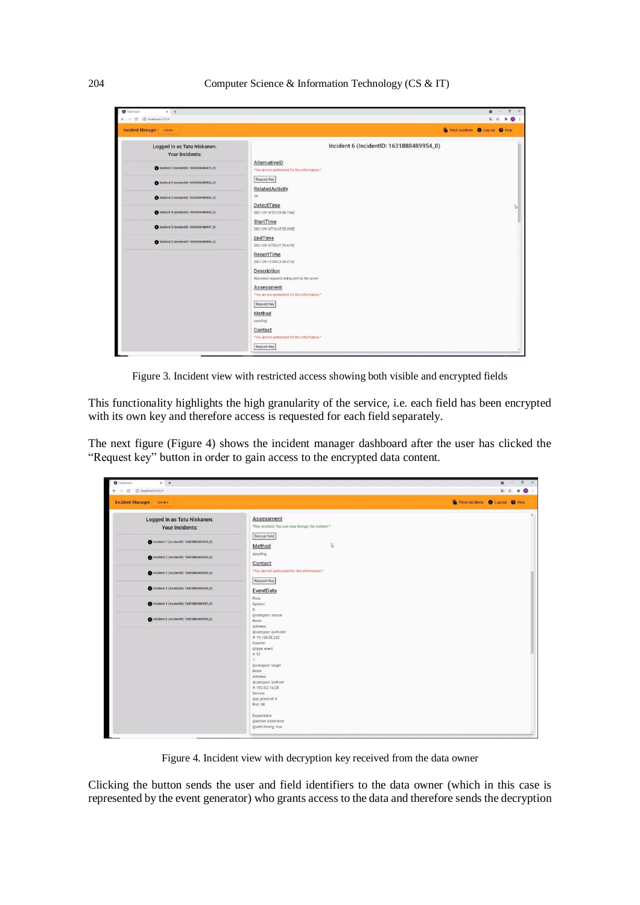

Figure 3. Incident view with restricted access showing both visible and encrypted fields

This functionality highlights the high granularity of the service, i.e. each field has been encrypted with its own key and therefore access is requested for each field separately.

The next figure (Figure 4) shows the incident manager dashboard after the user has clicked the "Request key" button in order to gain access to the encrypted data content.

| <b>O</b> Dashboard<br>$x +$<br>$\leftarrow$ $\rightarrow$ C (D localhost 4200/# |                                                                                                                                                                                                                                                                                                                           | $\sigma$<br>$\circ$<br>$\times$<br>龍台<br>٠<br>$\bullet$ : |
|---------------------------------------------------------------------------------|---------------------------------------------------------------------------------------------------------------------------------------------------------------------------------------------------------------------------------------------------------------------------------------------------------------------------|-----------------------------------------------------------|
| <b>Incident Manager</b><br>LOO N +                                              |                                                                                                                                                                                                                                                                                                                           | Fetch Incidents <b>O</b> Log out O Help                   |
| Logged in as Tatu Niskanen.<br>Your incidents:                                  | Assessment<br>*Key received. You can now decrypt the content.*                                                                                                                                                                                                                                                            |                                                           |
| ncident 1 (IncidentID: 1631888482419_0)                                         | Decrypt field<br>Q<br>Method                                                                                                                                                                                                                                                                                              |                                                           |
| ncident 2 (IncidentID: 1631888483924_0)                                         | spoofing<br>Contact                                                                                                                                                                                                                                                                                                       |                                                           |
| ncident 3 (IncidentID: 1631888485433_0)                                         | *You are not authorized for this information.*<br>Request Key                                                                                                                                                                                                                                                             |                                                           |
| meident 4 (IncidentID: 1631888486939_0)                                         | EventData                                                                                                                                                                                                                                                                                                                 |                                                           |
| Incident 5 (IncidentID: 1631888488447_0)                                        | Flow:<br>System:<br>$0$ :                                                                                                                                                                                                                                                                                                 |                                                           |
| ncident 6 (IncidentID: 1631888489954_0)                                         | @category: source<br>Node:<br>Address:<br>@category: ipv4-addr<br>#: 19.168.55.252<br>Counter:<br>@type: event<br>4:57<br>1:<br>@category: target<br>Node:<br>Address:<br>@category: ipv4-net<br>#:192.0.2.16/28<br>Service:<br>@ip_protocol: 6<br>Port: 80<br>Expectation:<br>@action: block-host<br>@self-closing: true |                                                           |

Figure 4. Incident view with decryption key received from the data owner

Clicking the button sends the user and field identifiers to the data owner (which in this case is represented by the event generator) who grants access to the data and therefore sends the decryption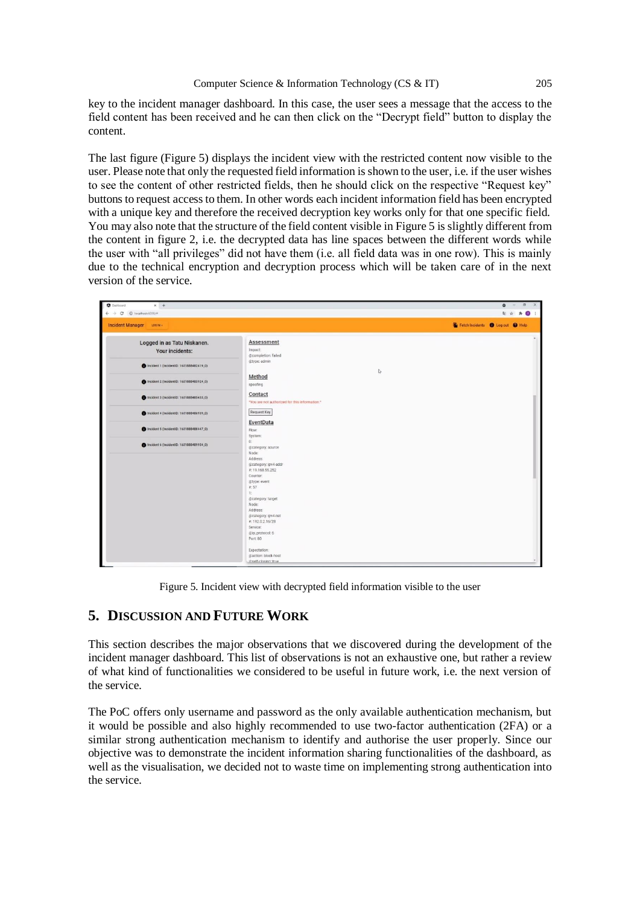key to the incident manager dashboard. In this case, the user sees a message that the access to the field content has been received and he can then click on the "Decrypt field" button to display the content.

The last figure (Figure 5) displays the incident view with the restricted content now visible to the user. Please note that only the requested field information is shown to the user, i.e. if the user wishes to see the content of other restricted fields, then he should click on the respective "Request key" buttons to request access to them. In other words each incident information field has been encrypted with a unique key and therefore the received decryption key works only for that one specific field. You may also note that the structure of the field content visible in Figure 5 is slightly different from the content in figure 2, i.e. the decrypted data has line spaces between the different words while the user with "all privileges" did not have them (i.e. all field data was in one row). This is mainly due to the technical encryption and decryption process which will be taken care of in the next version of the service.

| <b>Dashboard</b><br>$x +$<br>$\leftarrow$ $\rightarrow$ C $\circledcirc$ localhost-4200/# |                                                                                                                                                                                                                                                                 |              | $\sigma$<br>$\circ$<br>酯<br>$\bullet$<br>∗ |
|-------------------------------------------------------------------------------------------|-----------------------------------------------------------------------------------------------------------------------------------------------------------------------------------------------------------------------------------------------------------------|--------------|--------------------------------------------|
| <b>Incident Manager</b><br>LOG IN +                                                       |                                                                                                                                                                                                                                                                 |              | Fetch Incidents O Log out O Help           |
| Logged in as Tatu Niskanen.<br>Your incidents:                                            | <b>Assessment</b><br>Impact:<br>@completion: failed                                                                                                                                                                                                             |              |                                            |
| Incident 1 (incidentiD: 1631888482419_0)                                                  | @type: admin                                                                                                                                                                                                                                                    | $\heartsuit$ |                                            |
| ncident 2 (IncidentID: 1631888483924_0)                                                   | Method<br>spoofing                                                                                                                                                                                                                                              |              |                                            |
| thcident 3 (IncidentID: 1631888485433_0)                                                  | Contact<br>*You are not authorized for this information.*                                                                                                                                                                                                       |              |                                            |
| hcident 4 (IncidentID: 1631888486939_0)                                                   | Request Key                                                                                                                                                                                                                                                     |              |                                            |
| ncident 5 (incidentiD: 1631888488447_0)                                                   | EventData<br>Flow:<br>System:                                                                                                                                                                                                                                   |              |                                            |
| Incident 6 (IncidentID: 1631888489954_0)                                                  | 0<br>@category: source<br>Node:<br>Address:<br>@category: ipv4-addr<br>#:19.168.55.252<br>Counter:<br>@type: event<br># 57<br>1:<br>@category: target<br>Node:<br>Address:<br>@category: ipv4-net<br>#.192.0.2.16/28<br>Service:<br>@ip_protocol: 6<br>Port: 80 |              |                                            |
|                                                                                           | Expectation:<br>@action: block-host<br>@self-closing: true                                                                                                                                                                                                      |              |                                            |

Figure 5. Incident view with decrypted field information visible to the user

# **5. DISCUSSION AND FUTURE WORK**

This section describes the major observations that we discovered during the development of the incident manager dashboard. This list of observations is not an exhaustive one, but rather a review of what kind of functionalities we considered to be useful in future work, i.e. the next version of the service.

The PoC offers only username and password as the only available authentication mechanism, but it would be possible and also highly recommended to use two-factor authentication (2FA) or a similar strong authentication mechanism to identify and authorise the user properly. Since our objective was to demonstrate the incident information sharing functionalities of the dashboard, as well as the visualisation, we decided not to waste time on implementing strong authentication into the service.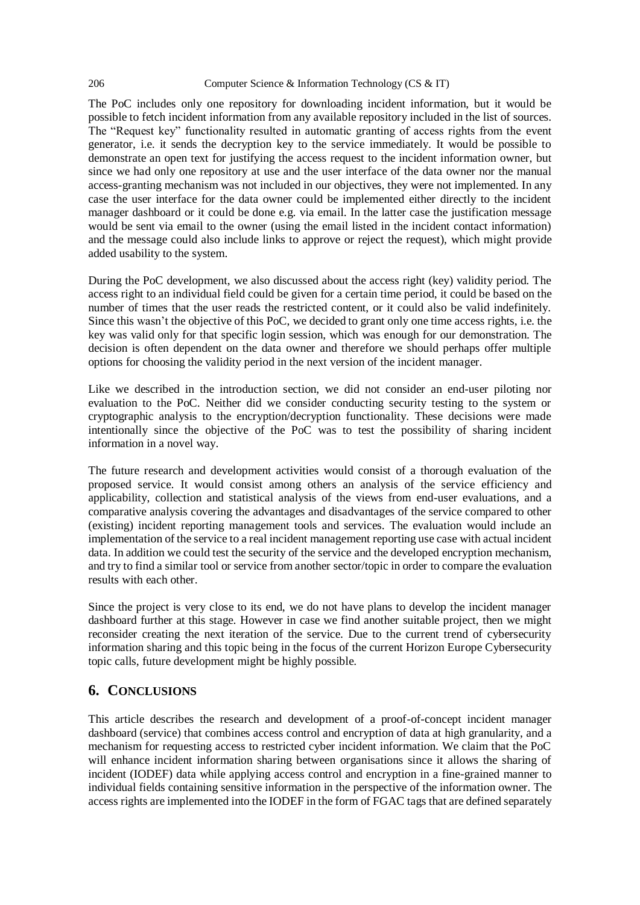The PoC includes only one repository for downloading incident information, but it would be possible to fetch incident information from any available repository included in the list of sources. The "Request key" functionality resulted in automatic granting of access rights from the event generator, i.e. it sends the decryption key to the service immediately. It would be possible to demonstrate an open text for justifying the access request to the incident information owner, but since we had only one repository at use and the user interface of the data owner nor the manual access-granting mechanism was not included in our objectives, they were not implemented. In any case the user interface for the data owner could be implemented either directly to the incident manager dashboard or it could be done e.g. via email. In the latter case the justification message would be sent via email to the owner (using the email listed in the incident contact information) and the message could also include links to approve or reject the request), which might provide added usability to the system.

During the PoC development, we also discussed about the access right (key) validity period. The access right to an individual field could be given for a certain time period, it could be based on the number of times that the user reads the restricted content, or it could also be valid indefinitely. Since this wasn't the objective of this PoC, we decided to grant only one time access rights, i.e. the key was valid only for that specific login session, which was enough for our demonstration. The decision is often dependent on the data owner and therefore we should perhaps offer multiple options for choosing the validity period in the next version of the incident manager.

Like we described in the introduction section, we did not consider an end-user piloting nor evaluation to the PoC. Neither did we consider conducting security testing to the system or cryptographic analysis to the encryption/decryption functionality. These decisions were made intentionally since the objective of the PoC was to test the possibility of sharing incident information in a novel way.

The future research and development activities would consist of a thorough evaluation of the proposed service. It would consist among others an analysis of the service efficiency and applicability, collection and statistical analysis of the views from end-user evaluations, and a comparative analysis covering the advantages and disadvantages of the service compared to other (existing) incident reporting management tools and services. The evaluation would include an implementation of the service to a real incident management reporting use case with actual incident data. In addition we could test the security of the service and the developed encryption mechanism, and try to find a similar tool or service from another sector/topic in order to compare the evaluation results with each other.

Since the project is very close to its end, we do not have plans to develop the incident manager dashboard further at this stage. However in case we find another suitable project, then we might reconsider creating the next iteration of the service. Due to the current trend of cybersecurity information sharing and this topic being in the focus of the current Horizon Europe Cybersecurity topic calls, future development might be highly possible.

# **6. CONCLUSIONS**

This article describes the research and development of a proof-of-concept incident manager dashboard (service) that combines access control and encryption of data at high granularity, and a mechanism for requesting access to restricted cyber incident information. We claim that the PoC will enhance incident information sharing between organisations since it allows the sharing of incident (IODEF) data while applying access control and encryption in a fine-grained manner to individual fields containing sensitive information in the perspective of the information owner. The access rights are implemented into the IODEF in the form of FGAC tags that are defined separately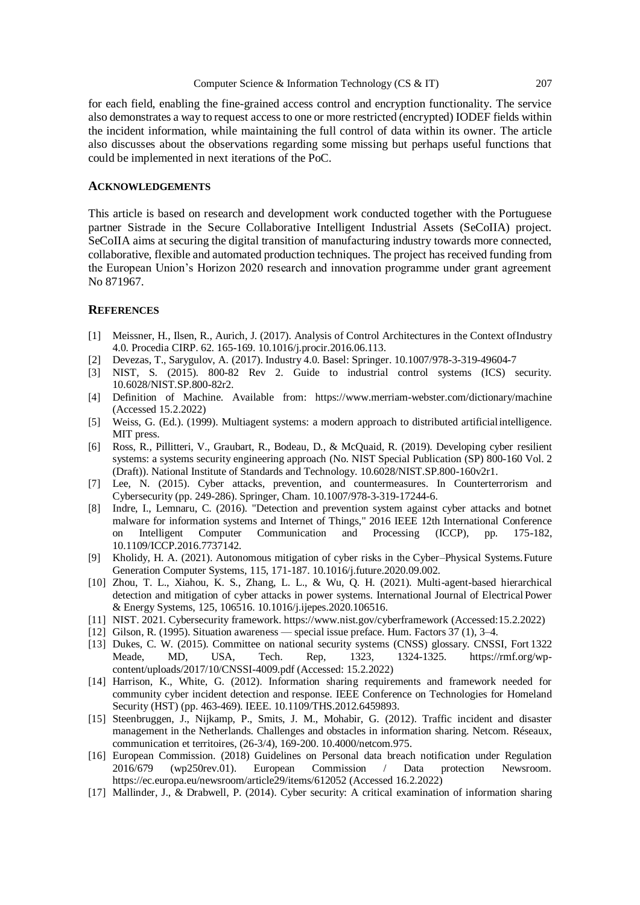for each field, enabling the fine-grained access control and encryption functionality. The service also demonstrates a way to request access to one or more restricted (encrypted) IODEF fields within the incident information, while maintaining the full control of data within its owner. The article also discusses about the observations regarding some missing but perhaps useful functions that could be implemented in next iterations of the PoC.

#### **ACKNOWLEDGEMENTS**

This article is based on research and development work conducted together with the Portuguese partner Sistrade in the Secure Collaborative Intelligent Industrial Assets (SeCoIIA) project. SeCoIIA aims at securing the digital transition of manufacturing industry towards more connected, collaborative, flexible and automated production techniques. The project has received funding from the European Union's Horizon 2020 research and innovation programme under grant agreement No 871967.

#### **REFERENCES**

- [1] Meissner, H., Ilsen, R., Aurich, J. (2017). Analysis of Control Architectures in the Context ofIndustry 4.0. Procedia CIRP. 62. 165-169. 10.1016/j.procir.2016.06.113.
- [2] Devezas, T., Sarygulov, A. (2017). Industry 4.0. Basel: Springer. 10.1007/978-3-319-49604-7
- [3] NIST, S. (2015). 800-82 Rev 2. Guide to industrial control systems (ICS) security. 10.6028/NIST.SP.800-82r2.
- [4] Definition of Machine. Available from: https:/[/www.merriam-webster.com/dictionary/machine](http://www.merriam-webster.com/dictionary/machine) (Accessed 15.2.2022)
- [5] Weiss, G. (Ed.). (1999). Multiagent systems: a modern approach to distributed artificial intelligence. MIT press.
- [6] Ross, R., Pillitteri, V., Graubart, R., Bodeau, D., & McQuaid, R. (2019). Developing cyber resilient systems: a systems security engineering approach (No. NIST Special Publication (SP) 800-160 Vol. 2 (Draft)). National Institute of Standards and Technology. 10.6028/NIST.SP.800-160v2r1.
- [7] Lee, N. (2015). Cyber attacks, prevention, and countermeasures. In Counterterrorism and Cybersecurity (pp. 249-286). Springer, Cham. 10.1007/978-3-319-17244-6.
- [8] Indre, I., Lemnaru, C. (2016). "Detection and prevention system against cyber attacks and botnet malware for information systems and Internet of Things," 2016 IEEE 12th International Conference on Intelligent Computer Communication and Processing (ICCP), pp. 175-182, 10.1109/ICCP.2016.7737142.
- [9] Kholidy, H. A. (2021). Autonomous mitigation of cyber risks in the Cyber–Physical Systems.Future Generation Computer Systems, 115, 171-187. 10.1016/j.future.2020.09.002.
- [10] Zhou, T. L., Xiahou, K. S., Zhang, L. L., & Wu, Q. H. (2021). Multi-agent-based hierarchical detection and mitigation of cyber attacks in power systems. International Journal of Electrical Power & Energy Systems, 125, 106516. 10.1016/j.ijepes.2020.106516.
- [11] NIST. 2021. Cybersecurity framework. https:/[/www.nist.gov/cyberframework \(](http://www.nist.gov/cyberframework)Accessed:15.2.2022)
- [12] Gilson, R. (1995). Situation awareness special issue preface. Hum. Factors 37 (1), 3–4.
- [13] Dukes, C. W. (2015). Committee on national security systems (CNSS) glossary. CNSSI, Fort 1322 Meade, MD, USA, Tech. Rep, 1323, 1324-1325. https://rmf.org/wpcontent/uploads/2017/10/CNSSI-4009.pdf (Accessed: 15.2.2022)
- [14] Harrison, K., White, G. (2012). Information sharing requirements and framework needed for community cyber incident detection and response. IEEE Conference on Technologies for Homeland Security (HST) (pp. 463-469). IEEE. 10.1109/THS.2012.6459893.
- [15] Steenbruggen, J., Nijkamp, P., Smits, J. M., Mohabir, G. (2012). Traffic incident and disaster management in the Netherlands. Challenges and obstacles in information sharing. Netcom. Réseaux, communication et territoires, (26-3/4), 169-200. 10.4000/netcom.975.
- [16] European Commission. (2018) Guidelines on Personal data breach notification under Regulation 2016/679 (wp250rev.01). European Commission / Data protection Newsroom. https://ec.europa.eu/newsroom/article29/items/612052 (Accessed 16.2.2022)
- [17] Mallinder, J., & Drabwell, P. (2014). Cyber security: A critical examination of information sharing